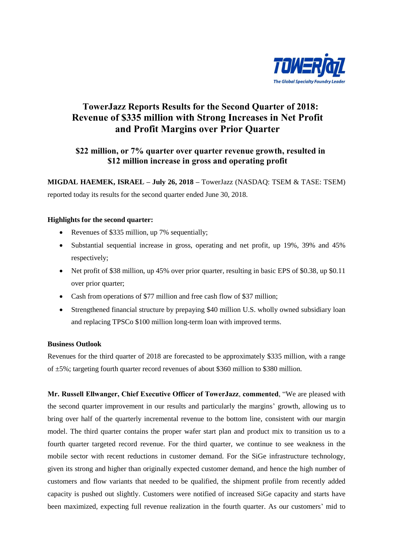

# **TowerJazz Reports Results for the Second Quarter of 2018: Revenue of \$335 million with Strong Increases in Net Profit and Profit Margins over Prior Quarter**

# **\$22 million, or 7% quarter over quarter revenue growth, resulted in \$12 million increase in gross and operating profit**

**MIGDAL HAEMEK, ISRAEL – July 26, 2018 –** TowerJazz (NASDAQ: TSEM & TASE: TSEM) reported today its results for the second quarter ended June 30, 2018.

## **Highlights for the second quarter:**

- Revenues of \$335 million, up 7% sequentially;
- Substantial sequential increase in gross, operating and net profit, up 19%, 39% and 45% respectively;
- Net profit of \$38 million, up 45% over prior quarter, resulting in basic EPS of \$0.38, up \$0.11 over prior quarter;
- Cash from operations of \$77 million and free cash flow of \$37 million;
- Strengthened financial structure by prepaying \$40 million U.S. wholly owned subsidiary loan and replacing TPSCo \$100 million long-term loan with improved terms.

# **Business Outlook**

Revenues for the third quarter of 2018 are forecasted to be approximately \$335 million, with a range of  $\pm 5\%$ ; targeting fourth quarter record revenues of about \$360 million to \$380 million.

**Mr. Russell Ellwanger, Chief Executive Officer of TowerJazz**, **commented**, "We are pleased with the second quarter improvement in our results and particularly the margins' growth, allowing us to bring over half of the quarterly incremental revenue to the bottom line, consistent with our margin model. The third quarter contains the proper wafer start plan and product mix to transition us to a fourth quarter targeted record revenue. For the third quarter, we continue to see weakness in the mobile sector with recent reductions in customer demand. For the SiGe infrastructure technology, given its strong and higher than originally expected customer demand, and hence the high number of customers and flow variants that needed to be qualified, the shipment profile from recently added capacity is pushed out slightly. Customers were notified of increased SiGe capacity and starts have been maximized, expecting full revenue realization in the fourth quarter. As our customers' mid to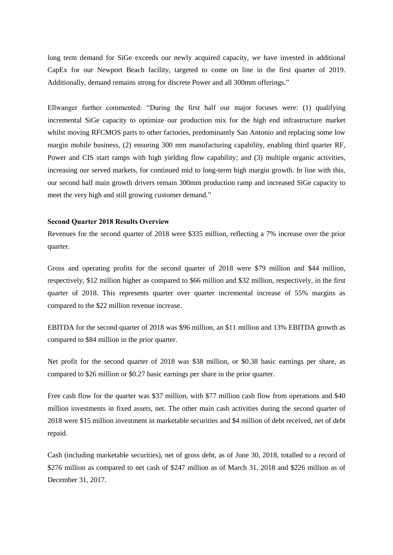long term demand for SiGe exceeds our newly acquired capacity, we have invested in additional CapEx for our Newport Beach facility, targeted to come on line in the first quarter of 2019. Additionally, demand remains strong for discrete Power and all 300mm offerings."

Ellwanger further commented: "During the first half our major focuses were: (1) qualifying incremental SiGe capacity to optimize our production mix for the high end infrastructure market whilst moving RFCMOS parts to other factories, predominantly San Antonio and replacing some low margin mobile business, (2) ensuring 300 mm manufacturing capability, enabling third quarter RF, Power and CIS start ramps with high yielding flow capability; and (3) multiple organic activities, increasing our served markets, for continued mid to long-term high margin growth. In line with this, our second half main growth drivers remain 300mm production ramp and increased SiGe capacity to meet the very high and still growing customer demand."

### **Second Quarter 2018 Results Overview**

Revenues for the second quarter of 2018 were \$335 million, reflecting a 7% increase over the prior quarter.

Gross and operating profits for the second quarter of 2018 were \$79 million and \$44 million, respectively, \$12 million higher as compared to \$66 million and \$32 million, respectively, in the first quarter of 2018. This represents quarter over quarter incremental increase of 55% margins as compared to the \$22 million revenue increase.

EBITDA for the second quarter of 2018 was \$96 million, an \$11 million and 13% EBITDA growth as compared to \$84 million in the prior quarter.

Net profit for the second quarter of 2018 was \$38 million, or \$0.38 basic earnings per share, as compared to \$26 million or \$0.27 basic earnings per share in the prior quarter.

Free cash flow for the quarter was \$37 million, with \$77 million cash flow from operations and \$40 million investments in fixed assets, net. The other main cash activities during the second quarter of 2018 were \$15 million investment in marketable securities and \$4 million of debt received, net of debt repaid.

Cash (including marketable securities), net of gross debt, as of June 30, 2018, totalled to a record of \$276 million as compared to net cash of \$247 million as of March 31, 2018 and \$226 million as of December 31, 2017.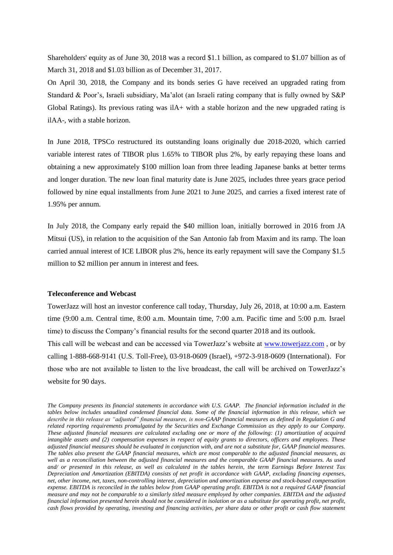Shareholders' equity as of June 30, 2018 was a record \$1.1 billion, as compared to \$1.07 billion as of March 31, 2018 and \$1.03 billion as of December 31, 2017.

On April 30, 2018, the Company and its bonds series G have received an upgraded rating from Standard & Poor's, Israeli subsidiary, Ma'alot (an Israeli rating company that is fully owned by S&P Global Ratings). Its previous rating was ilA+ with a stable horizon and the new upgraded rating is ilAA-, with a stable horizon.

In June 2018, TPSCo restructured its outstanding loans originally due 2018-2020, which carried variable interest rates of TIBOR plus 1.65% to TIBOR plus 2%, by early repaying these loans and obtaining a new approximately \$100 million loan from three leading Japanese banks at better terms and longer duration. The new loan final maturity date is June 2025, includes three years grace period followed by nine equal installments from June 2021 to June 2025, and carries a fixed interest rate of 1.95% per annum.

In July 2018, the Company early repaid the \$40 million loan, initially borrowed in 2016 from JA Mitsui (US), in relation to the acquisition of the San Antonio fab from Maxim and its ramp. The loan carried annual interest of ICE LIBOR plus 2%, hence its early repayment will save the Company \$1.5 million to \$2 million per annum in interest and fees.

### **Teleconference and Webcast**

TowerJazz will host an investor conference call today, Thursday, July 26, 2018, at 10:00 a.m. Eastern time (9:00 a.m. Central time, 8:00 a.m. Mountain time, 7:00 a.m. Pacific time and 5:00 p.m. Israel time) to discuss the Company's financial results for the second quarter 2018 and its outlook.

This call will be webcast and can be accessed via TowerJazz's website at [www.towerjazz.com](http://www.towerjazz.com/) , or by calling 1-888-668-9141 (U.S. Toll-Free), 03-918-0609 (Israel), +972-3-918-0609 (International). For those who are not available to listen to the live broadcast, the call will be archived on TowerJazz's website for 90 days.

*The Company presents its financial statements in accordance with U.S. GAAP. The financial information included in the tables below includes unaudited condensed financial data. Some of the financial information in this release, which we describe in this release as "adjusted" financial measures, is non-GAAP financial measures as defined in Regulation G and related reporting requirements promulgated by the Securities and Exchange Commission as they apply to our Company. These adjusted financial measures are calculated excluding one or more of the following: (1) amortization of acquired intangible assets and (2) compensation expenses in respect of equity grants to directors, officers and employees. These adjusted financial measures should be evaluated in conjunction with, and are not a substitute for, GAAP financial measures. The tables also present the GAAP financial measures, which are most comparable to the adjusted financial measures, as well as a reconciliation between the adjusted financial measures and the comparable GAAP financial measures. As used and/ or presented in this release, as well as calculated in the tables herein, the term Earnings Before Interest Tax Depreciation and Amortization (EBITDA) consists of net profit in accordance with GAAP, excluding financing expenses, net, other income, net, taxes, non-controlling interest, depreciation and amortization expense and stock-based compensation expense. EBITDA is reconciled in the tables below from GAAP operating profit. EBITDA is not a required GAAP financial measure and may not be comparable to a similarly titled measure employed by other companies. EBITDA and the adjusted financial information presented herein should not be considered in isolation or as a substitute for operating profit, net profit, cash flows provided by operating, investing and financing activities, per share data or other profit or cash flow statement*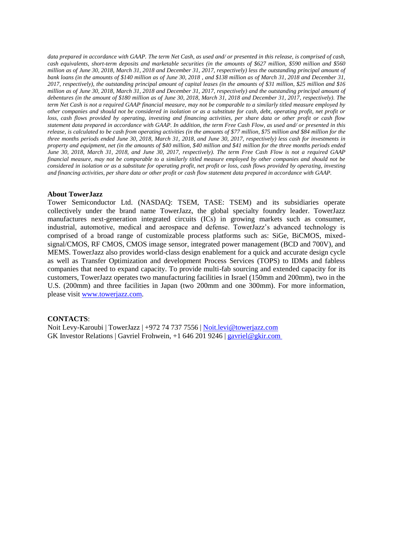*data prepared in accordance with GAAP. The term Net Cash, as used and/ or presented in this release, is comprised of cash, cash equivalents, short-term deposits and marketable securities (in the amounts of \$627 million, \$590 million and \$560 million as of June 30, 2018, March 31, 2018 and December 31, 2017, respectively) less the outstanding principal amount of bank loans (in the amounts of \$140 million as of June 30, 2018 , and \$138 million as of March 31, 2018 and December 31, 2017, respectively), the outstanding principal amount of capital leases (in the amounts of \$31 million, \$25 million and \$16 million as of June 30, 2018, March 31, 2018 and December 31, 2017, respectively) and the outstanding principal amount of debentures (in the amount of \$180 million as of June 30, 2018, March 31, 2018 and December 31, 2017, respectively). The term Net Cash is not a required GAAP financial measure, may not be comparable to a similarly titled measure employed by other companies and should not be considered in isolation or as a substitute for cash, debt, operating profit, net profit or loss, cash flows provided by operating, investing and financing activities, per share data or other profit or cash flow statement data prepared in accordance with GAAP. In addition, the term Free Cash Flow, as used and/ or presented in this release, is calculated to be cash from operating activities (in the amounts of \$77 million, \$75 million and \$84 million for the three months periods ended June 30, 2018, March 31, 2018, and June 30, 2017, respectively) less cash for investments in property and equipment, net (in the amounts of \$40 million, \$40 million and \$41 million for the three months periods ended June 30, 2018, March 31, 2018, and June 30, 2017, respectively). The term Free Cash Flow is not a required GAAP financial measure, may not be comparable to a similarly titled measure employed by other companies and should not be considered in isolation or as a substitute for operating profit, net profit or loss, cash flows provided by operating, investing and financing activities, per share data or other profit or cash flow statement data prepared in accordance with GAAP.*

### **About TowerJazz**

Tower Semiconductor Ltd. (NASDAQ: TSEM, TASE: TSEM) and its subsidiaries operate collectively under the brand name TowerJazz, the global specialty foundry leader. TowerJazz manufactures next-generation integrated circuits (ICs) in growing markets such as consumer, industrial, automotive, medical and aerospace and defense. TowerJazz's advanced technology is comprised of a broad range of customizable process platforms such as: SiGe, BiCMOS, mixedsignal/CMOS, RF CMOS, CMOS image sensor, integrated power management (BCD and 700V), and MEMS. TowerJazz also provides world-class design enablement for a quick and accurate design cycle as well as Transfer Optimization and development Process Services (TOPS) to IDMs and fabless companies that need to expand capacity. To provide multi-fab sourcing and extended capacity for its customers, TowerJazz operates two manufacturing facilities in Israel (150mm and 200mm), two in the U.S. (200mm) and three facilities in Japan (two 200mm and one 300mm). For more information, please visit [www.towerjazz.com.](http://www.towerjazz.com/)

#### **CONTACTS**:

Noit Levy-Karoubi | TowerJazz | +972 74 737 7556 | [Noit.levi@towerjazz.com](mailto:Noit.levi@towerjazz.com) GK Investor Relations | Gavriel Frohwein, +1 646 201 9246 | [gavriel@gkir.com](mailto:gavriel@gkir.com )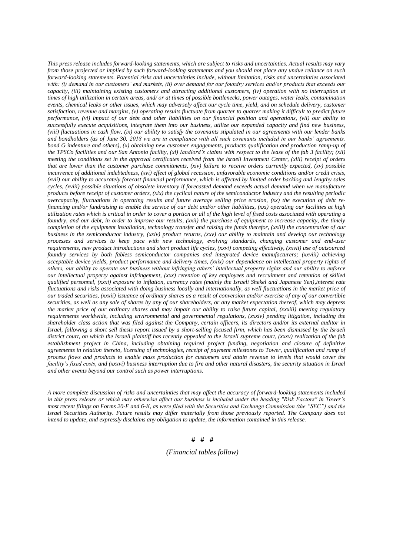*This press release includes forward-looking statements, which are subject to risks and uncertainties. Actual results may vary from those projected or implied by such forward-looking statements and you should not place any undue reliance on such forward-looking statements. Potential risks and uncertainties include, without limitation, risks and uncertainties associated*  with: (i) demand in our customers' end markets, (ii) over demand for our foundry services and/or products that exceeds our *capacity, (iii) maintaining existing customers and attracting additional customers, (iv) operation with no interruption at times of high utilization in certain areas, and/ or at times of possible bottlenecks, power outages, water leaks, contamination events, chemical leaks or other issues, which may adversely affect our cycle time, yield, and on schedule delivery, customer satisfaction, revenue and margins, (v) operating results fluctuate from quarter to quarter making it difficult to predict future performance, (vi) impact of our debt and other liabilities on our financial position and operations, (vii) our ability to successfully execute acquisitions, integrate them into our business, utilize our expanded capacity and find new business, (viii) fluctuations in cash flow, (ix) our ability to satisfy the covenants stipulated in our agreements with our lender banks and bondholders (as of June 30, 2018 we are in compliance with all such covenants included in our banks' agreements, bond G indenture and others), (x) obtaining new customer engagements, products qualification and production ramp-up of the TPSCo facilities and our San Antonio facility, (xi) landlord's claims with respect to the lease of the fab 3 facility; (xii) meeting the conditions set in the approval certificates received from the Israeli Investment Center, (xiii) receipt of orders that are lower than the customer purchase commitments, (xiv) failure to receive orders currently expected, (xv) possible incurrence of additional indebtedness, (xvi) effect of global recession, unfavorable economic conditions and/or credit crisis, (xvii) our ability to accurately forecast financial performance, which is affected by limited order backlog and lengthy sales cycles, (xviii) possible situations of obsolete inventory if forecasted demand exceeds actual demand when we manufacture products before receipt of customer orders, (xix) the cyclical nature of the semiconductor industry and the resulting periodic overcapacity, fluctuations in operating results and future average selling price erosion, (xx) the execution of debt refinancing and/or fundraising to enable the service of our debt and/or other liabilities, (xxi) operating our facilities at high utilization rates which is critical in order to cover a portion or all of the high level of fixed costs associated with operating a foundry, and our debt, in order to improve our results, (xxii) the purchase of equipment to increase capacity, the timely completion of the equipment installation, technology transfer and raising the funds therefor, (xxiii) the concentration of our business in the semiconductor industry, (xxiv) product returns, (xxv) our ability to maintain and develop our technology processes and services to keep pace with new technology, evolving standards, changing customer and end-user requirements, new product introductions and short product life cycles, (xxvi) competing effectively, (xxvii) use of outsourced foundry services by both fabless semiconductor companies and integrated device manufacturers; (xxviii) achieving acceptable device yields, product performance and delivery times, (xxix) our dependence on intellectual property rights of others, our ability to operate our business without infringing others' intellectual property rights and our ability to enforce our intellectual property against infringement, (xxx) retention of key employees and recruitment and retention of skilled qualified personnel, (xxxi) exposure to inflation, currency rates (mainly the Israeli Shekel and Japanese Yen),interest rate fluctuations and risks associated with doing business locally and internationally, as well fluctuations in the market price of our traded securities, (xxxii) issuance of ordinary shares as a result of conversion and/or exercise of any of our convertible securities, as well as any sale of shares by any of our shareholders, or any market expectation thereof, which may depress the market price of our ordinary shares and may impair our ability to raise future capital, (xxxiii) meeting regulatory requirements worldwide, including environmental and governmental regulations, (xxxiv) pending litigation, including the shareholder class action that was filed against the Company, certain officers, its directors and/or its external auditor in Israel, following a short sell thesis report issued by a short-selling focused firm, which has been dismissed by the Israeli*  district court, on which the Israeli plaintiff has recently appealed to the Israeli supreme court, (xxxv) realization of the fab *establishment project in China, including obtaining required project funding, negotiation and closure of definitive agreements in relation thereto, licensing of technologies, receipt of payment milestones to Tower, qualification and ramp of process flows and products to enable mass production for customers and attain revenue to levels that would cover the facility's fixed costs, and (xxxvi) business interruption due to fire and other natural disasters, the security situation in Israel and other events beyond our control such as power interruptions.* 

*A more complete discussion of risks and uncertainties that may affect the accuracy of forward-looking statements included in this press release or which may otherwise affect our business is included under the heading "Risk Factors" in Tower's most recent filings on Forms 20-F and 6-K, as were filed with the Securities and Exchange Commission (the "SEC") and the Israel Securities Authority. Future results may differ materially from those previously reported. The Company does not intend to update, and expressly disclaims any obligation to update, the information contained in this release.*

### **# # #**

*(Financial tables follow)*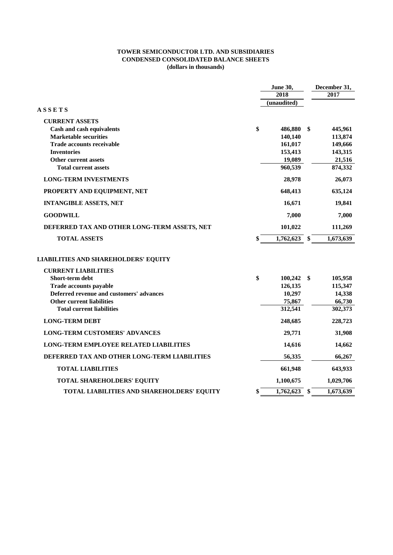### **TOWER SEMICONDUCTOR LTD. AND SUBSIDIARIES CONDENSED CONSOLIDATED BALANCE SHEETS (dollars in thousands)**

|                                                   | <b>June 30,</b> |     | December 31, |  |  |
|---------------------------------------------------|-----------------|-----|--------------|--|--|
|                                                   | 2018            |     | 2017         |  |  |
|                                                   | (unaudited)     |     |              |  |  |
| <b>ASSETS</b>                                     |                 |     |              |  |  |
| <b>CURRENT ASSETS</b>                             |                 |     |              |  |  |
| Cash and cash equivalents                         | \$<br>486,880   | \$  | 445,961      |  |  |
| <b>Marketable securities</b>                      | 140,140         |     | 113,874      |  |  |
| <b>Trade accounts receivable</b>                  | 161,017         |     | 149,666      |  |  |
| <b>Inventories</b>                                | 153,413         |     | 143,315      |  |  |
| <b>Other current assets</b>                       | 19,089          |     | 21,516       |  |  |
| <b>Total current assets</b>                       | 960,539         |     | 874,332      |  |  |
| <b>LONG-TERM INVESTMENTS</b>                      | 28,978          |     | 26,073       |  |  |
| PROPERTY AND EQUIPMENT, NET                       | 648,413         |     | 635,124      |  |  |
| <b>INTANGIBLE ASSETS, NET</b>                     | 16,671          |     | 19,841       |  |  |
| <b>GOODWILL</b>                                   | 7,000           |     | 7,000        |  |  |
| DEFERRED TAX AND OTHER LONG-TERM ASSETS, NET      | 101,022         |     | 111,269      |  |  |
| <b>TOTAL ASSETS</b>                               | \$<br>1,762,623 | \$  | 1,673,639    |  |  |
| <b>LIABILITIES AND SHAREHOLDERS' EQUITY</b>       |                 |     |              |  |  |
| <b>CURRENT LIABILITIES</b>                        |                 |     |              |  |  |
| Short-term debt                                   | \$<br>100,242   | -\$ | 105,958      |  |  |
| <b>Trade accounts payable</b>                     | 126,135         |     | 115,347      |  |  |
| Deferred revenue and customers' advances          | 10,297          |     | 14,338       |  |  |
| <b>Other current liabilities</b>                  | 75,867          |     | 66,730       |  |  |
| <b>Total current liabilities</b>                  | 312,541         |     | 302,373      |  |  |
| <b>LONG-TERM DEBT</b>                             | 248,685         |     | 228,723      |  |  |
| <b>LONG-TERM CUSTOMERS' ADVANCES</b>              | 29,771          |     | 31,908       |  |  |
| <b>LONG-TERM EMPLOYEE RELATED LIABILITIES</b>     | 14,616          |     | 14,662       |  |  |
| DEFERRED TAX AND OTHER LONG-TERM LIABILITIES      | 56,335          |     | 66,267       |  |  |
| <b>TOTAL LIABILITIES</b>                          | 661,948         |     | 643,933      |  |  |
| TOTAL SHAREHOLDERS' EQUITY                        | 1,100,675       |     | 1,029,706    |  |  |
| <b>TOTAL LIABILITIES AND SHAREHOLDERS' EQUITY</b> | \$<br>1,762,623 | \$  | 1,673,639    |  |  |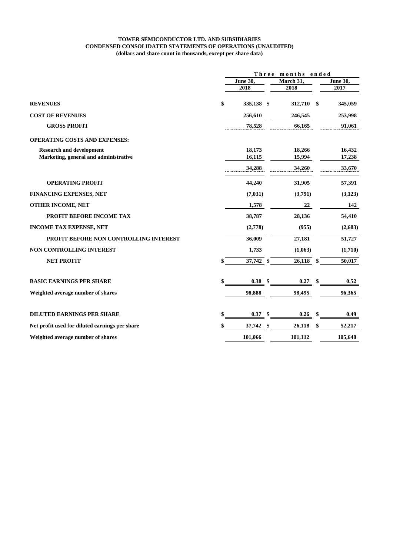### **TOWER SEMICONDUCTOR LTD. AND SUBSIDIARIES CONDENSED CONSOLIDATED STATEMENTS OF OPERATIONS (UNAUDITED) (dollars and share count in thousands, except per share data)**

|                                                | Three months<br>ended   |  |                        |    |                 |
|------------------------------------------------|-------------------------|--|------------------------|----|-----------------|
|                                                | <b>June 30,</b>         |  | March 31,              |    | <b>June 30,</b> |
|                                                | 2018                    |  | 2018                   |    | 2017            |
| <b>REVENUES</b>                                | \$<br>335,138 \$        |  | 312,710                | \$ | 345,059         |
| <b>COST OF REVENUES</b>                        | 256,610                 |  | 246,545                |    | 253,998         |
| <b>GROSS PROFIT</b>                            | 78,528                  |  | 66,165                 |    | 91,061          |
| <b>OPERATING COSTS AND EXPENSES:</b>           |                         |  |                        |    |                 |
| <b>Research and development</b>                | 18,173                  |  | 18,266                 |    | 16,432          |
| Marketing, general and administrative          | 16,115                  |  | 15,994                 |    | 17,238          |
|                                                | 34,288                  |  | 34,260                 |    | 33,670          |
| <b>OPERATING PROFIT</b>                        | 44,240                  |  | 31,905                 |    | 57,391          |
| FINANCING EXPENSES, NET                        | (7,031)                 |  | (3,791)                |    | (3,123)         |
| <b>OTHER INCOME, NET</b>                       | 1,578                   |  | 22                     |    | 142             |
| PROFIT BEFORE INCOME TAX                       | 38,787                  |  | 28,136                 |    | 54,410          |
| <b>INCOME TAX EXPENSE, NET</b>                 | (2,778)                 |  | (955)                  |    | (2,683)         |
| PROFIT BEFORE NON CONTROLLING INTEREST         | 36,009                  |  | 27,181                 |    | 51,727          |
| NON CONTROLLING INTEREST                       | 1,733                   |  | (1,063)                |    | (1,710)         |
| <b>NET PROFIT</b>                              | $\overline{37,742}$ \$  |  | $\overline{26,118}$ \$ |    | 50,017          |
| <b>BASIC EARNINGS PER SHARE</b>                | \$<br>0.38 <sup>°</sup> |  | 0.27                   | \$ | 0.52            |
| Weighted average number of shares              | 98,888                  |  | 98,495                 |    | 96,365          |
|                                                |                         |  |                        |    |                 |
| <b>DILUTED EARNINGS PER SHARE</b>              | \$<br>0.37 <sup>°</sup> |  | 0.26                   | \$ | 0.49            |
| Net profit used for diluted earnings per share | \$<br>37,742 \$         |  | 26,118                 | \$ | 52,217          |
| Weighted average number of shares              | 101,066                 |  | 101,112                |    | 105,648         |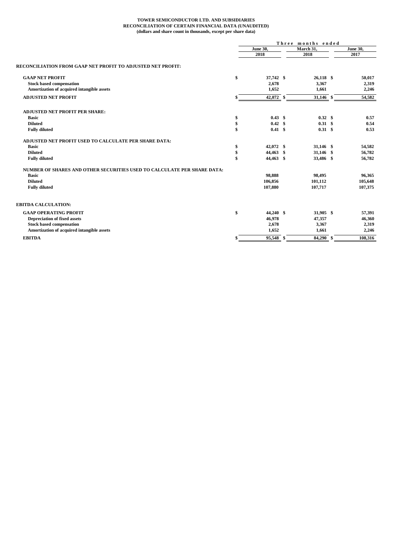#### **TOWER SEMICONDUCTOR LTD. AND SUBSIDIARIES RECONCILIATION OF CERTAIN FINANCIAL DATA (UNAUDITED) (dollars and share count in thousands, except per share data)**

|                                                                         | Three months ended |                 |  |             |  |                 |
|-------------------------------------------------------------------------|--------------------|-----------------|--|-------------|--|-----------------|
|                                                                         |                    | <b>June 30,</b> |  | March 31,   |  | <b>June 30,</b> |
|                                                                         |                    | 2018            |  | 2018        |  | 2017            |
| RECONCILIATION FROM GAAP NET PROFIT TO ADJUSTED NET PROFIT:             |                    |                 |  |             |  |                 |
| <b>GAAP NET PROFIT</b>                                                  | \$                 | 37,742 \$       |  | $26,118$ \$ |  | 50,017          |
| <b>Stock based compensation</b>                                         |                    | 2,678           |  | 3,367       |  | 2,319           |
| Amortization of acquired intangible assets                              |                    | 1,652           |  | 1,661       |  | 2,246           |
| <b>ADJUSTED NET PROFIT</b>                                              |                    | 42,072 \$       |  | $31,146$ \$ |  | 54,582          |
| <b>ADJUSTED NET PROFIT PER SHARE:</b>                                   |                    |                 |  |             |  |                 |
| <b>Basic</b>                                                            | \$                 | 0.43S           |  | 0.32 S      |  | 0.57            |
| <b>Diluted</b>                                                          | \$                 | 0.42 S          |  | 0.31 S      |  | 0.54            |
| <b>Fully diluted</b>                                                    | \$                 | 0.41 S          |  | 0.31S       |  | 0.53            |
| ADJUSTED NET PROFIT USED TO CALCULATE PER SHARE DATA:                   |                    |                 |  |             |  |                 |
| <b>Basic</b>                                                            | \$                 | 42,072 \$       |  | 31,146 \$   |  | 54,582          |
| <b>Diluted</b>                                                          | \$                 | 44,463 \$       |  | 31,146 \$   |  | 56,782          |
| <b>Fully diluted</b>                                                    | \$                 | 44,463 \$       |  | 33,486 \$   |  | 56,782          |
| NUMBER OF SHARES AND OTHER SECURITIES USED TO CALCULATE PER SHARE DATA: |                    |                 |  |             |  |                 |
| <b>Basic</b>                                                            |                    | 98,888          |  | 98,495      |  | 96,365          |
| <b>Diluted</b>                                                          |                    | 106,856         |  | 101,112     |  | 105,648         |
| <b>Fully diluted</b>                                                    |                    | 107,880         |  | 107,717     |  | 107,375         |
| <b>EBITDA CALCULATION:</b>                                              |                    |                 |  |             |  |                 |
| <b>GAAP OPERATING PROFIT</b>                                            | \$                 | 44,240 \$       |  | 31,905 \$   |  | 57,391          |
| <b>Depreciation of fixed assets</b>                                     |                    | 46,978          |  | 47,357      |  | 46,360          |
| <b>Stock based compensation</b>                                         |                    | 2,678           |  | 3,367       |  | 2,319           |
| Amortization of acquired intangible assets                              |                    | 1,652           |  | 1,661       |  | 2,246           |
| <b>EBITDA</b>                                                           | \$                 | 95,548 \$       |  | 84.290 \$   |  | 108.316         |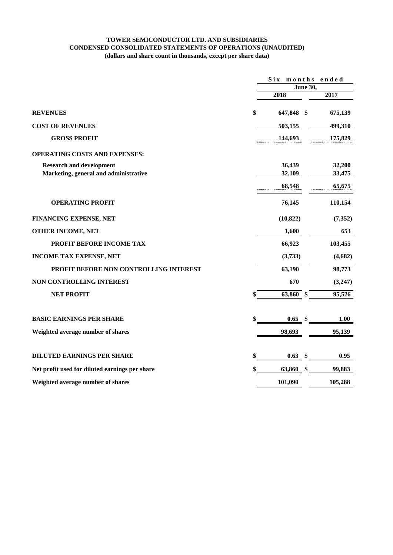### **TOWER SEMICONDUCTOR LTD. AND SUBSIDIARIES CONDENSED CONSOLIDATED STATEMENTS OF OPERATIONS (UNAUDITED) (dollars and share count in thousands, except per share data)**

|                                                | Six months<br>ended  |              |          |  |  |
|------------------------------------------------|----------------------|--------------|----------|--|--|
|                                                | <b>June 30,</b>      |              |          |  |  |
|                                                | 2018                 |              | 2017     |  |  |
| <b>REVENUES</b>                                | \$<br>647,848 \$     |              | 675,139  |  |  |
| <b>COST OF REVENUES</b>                        | 503,155              |              | 499,310  |  |  |
| <b>GROSS PROFIT</b>                            | 144,693              |              | 175,829  |  |  |
| <b>OPERATING COSTS AND EXPENSES:</b>           |                      |              |          |  |  |
| <b>Research and development</b>                | 36,439               |              | 32,200   |  |  |
| Marketing, general and administrative          | 32,109               |              | 33,475   |  |  |
|                                                | 68,548               |              | 65,675   |  |  |
| <b>OPERATING PROFIT</b>                        | 76,145               |              | 110,154  |  |  |
| <b>FINANCING EXPENSE, NET</b>                  | (10, 822)            |              | (7, 352) |  |  |
| <b>OTHER INCOME, NET</b>                       | 1,600                |              | 653      |  |  |
| PROFIT BEFORE INCOME TAX                       | 66,923               |              | 103,455  |  |  |
| <b>INCOME TAX EXPENSE, NET</b>                 | (3,733)              |              | (4,682)  |  |  |
| PROFIT BEFORE NON CONTROLLING INTEREST         | 63,190               |              | 98,773   |  |  |
| NON CONTROLLING INTEREST                       | 670                  |              | (3,247)  |  |  |
| <b>NET PROFIT</b>                              | \$<br>63,860         | $\mathbf{s}$ | 95,526   |  |  |
| <b>BASIC EARNINGS PER SHARE</b>                | \$<br>$0.65$ \$      |              | 1.00     |  |  |
|                                                |                      |              |          |  |  |
| Weighted average number of shares              | 98,693               |              | 95,139   |  |  |
| <b>DILUTED EARNINGS PER SHARE</b>              | \$<br>$0.63 \quad $$ |              | 0.95     |  |  |
| Net profit used for diluted earnings per share | \$<br>63,860         | \$           | 99,883   |  |  |
| Weighted average number of shares              | 101,090              |              | 105,288  |  |  |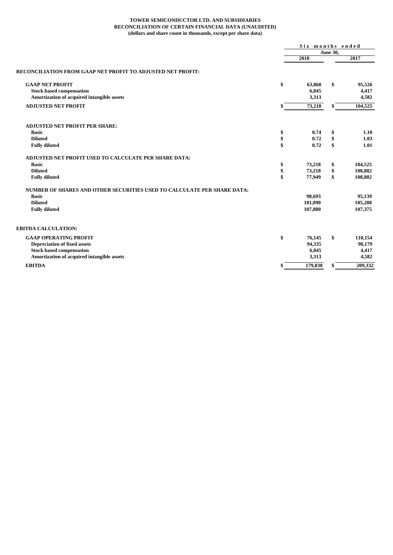#### **TOWER SEMICONDUCTOR LTD. AND SUBSIDIARIES RECONCILIATION OF CERTAIN FINANCIAL DATA (UNAUDITED) (dollars and share count in thousands, except per share data)**

|                                                                         |    | Six months ended |                 |         |  |
|-------------------------------------------------------------------------|----|------------------|-----------------|---------|--|
|                                                                         |    |                  | <b>June 30,</b> |         |  |
|                                                                         |    | 2018             |                 | 2017    |  |
| RECONCILIATION FROM GAAP NET PROFIT TO ADJUSTED NET PROFIT:             |    |                  |                 |         |  |
| <b>GAAP NET PROFIT</b>                                                  | \$ | 63,860           | \$              | 95,526  |  |
| <b>Stock based compensation</b>                                         |    | 6,045            |                 | 4,417   |  |
| Amortization of acquired intangible assets                              |    | 3,313            |                 | 4,582   |  |
| <b>ADJUSTED NET PROFIT</b>                                              |    | 73,218           | \$              | 104,525 |  |
| <b>ADJUSTED NET PROFIT PER SHARE:</b>                                   |    |                  |                 |         |  |
| <b>Basic</b>                                                            | \$ | 0.74             | \$              | 1.10    |  |
| <b>Diluted</b>                                                          | \$ | 0.72             | \$              | 1.03    |  |
| <b>Fully diluted</b>                                                    | \$ | 0.72             | \$              | 1.01    |  |
| ADJUSTED NET PROFIT USED TO CALCULATE PER SHARE DATA:                   |    |                  |                 |         |  |
| <b>Basic</b>                                                            | \$ | 73,218           | \$              | 104,525 |  |
| <b>Diluted</b>                                                          | \$ | 73,218           | \$              | 108,882 |  |
| <b>Fully diluted</b>                                                    | \$ | 77,949           | \$              | 108,882 |  |
| NUMBER OF SHARES AND OTHER SECURITIES USED TO CALCULATE PER SHARE DATA: |    |                  |                 |         |  |
| <b>Basic</b>                                                            |    | 98,693           |                 | 95,139  |  |
| <b>Diluted</b>                                                          |    | 101,090          |                 | 105,288 |  |
| <b>Fully diluted</b>                                                    |    | 107,880          |                 | 107,375 |  |
| <b>EBITDA CALCULATION:</b>                                              |    |                  |                 |         |  |
| <b>GAAP OPERATING PROFIT</b>                                            | \$ | 76,145           | \$              | 110,154 |  |
| <b>Depreciation of fixed assets</b>                                     |    | 94,335           |                 | 90,179  |  |
| <b>Stock based compensation</b>                                         |    | 6,045            |                 | 4,417   |  |
| Amortization of acquired intangible assets                              |    | 3,313            |                 | 4,582   |  |
| <b>EBITDA</b>                                                           | S  | 179,838          | \$              | 209,332 |  |
|                                                                         |    |                  |                 |         |  |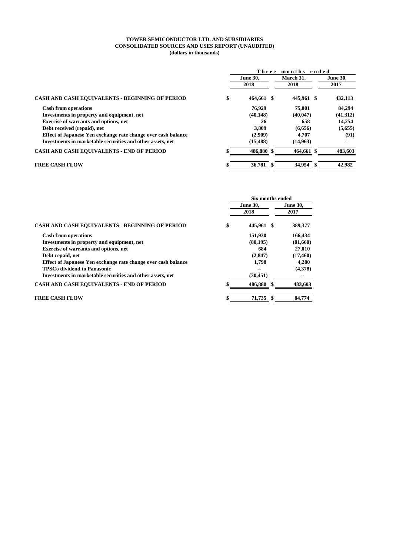#### **TOWER SEMICONDUCTOR LTD. AND SUBSIDIARIES CONSOLIDATED SOURCES AND USES REPORT (UNAUDITED) (dollars in thousands)**

|                                                               | Three months ended |            |                          |  |  |
|---------------------------------------------------------------|--------------------|------------|--------------------------|--|--|
|                                                               | <b>June 30.</b>    | March 31.  | <b>June 30.</b>          |  |  |
|                                                               | 2018               | 2018       | 2017                     |  |  |
| CASH AND CASH EQUIVALENTS - BEGINNING OF PERIOD               | \$<br>464,661 \$   | 445,961 \$ | 432,113                  |  |  |
| <b>Cash from operations</b>                                   | 76.929             | 75,001     | 84,294                   |  |  |
| Investments in property and equipment, net                    | (40, 148)          | (40, 047)  | (41,312)                 |  |  |
| <b>Exercise of warrants and options, net</b>                  | 26                 | 658        | 14.254                   |  |  |
| Debt received (repaid), net                                   | 3,809              | (6,656)    | (5,655)                  |  |  |
| Effect of Japanese Yen exchange rate change over cash balance | (2,909)            | 4.707      | (91)                     |  |  |
| Investments in marketable securities and other assets, net    | (15, 488)          | (14,963)   | $\overline{\phantom{a}}$ |  |  |
| CASH AND CASH EQUIVALENTS - END OF PERIOD                     | 486,880 \$         | 464,661 \$ | 483,603                  |  |  |
| <b>FREE CASH FLOW</b>                                         | 36,781             | 34,954     | 42,982                   |  |  |

|                                                               | Six months ended |  |           |  |  |
|---------------------------------------------------------------|------------------|--|-----------|--|--|
|                                                               | <b>June 30.</b>  |  |           |  |  |
|                                                               | 2018             |  | 2017      |  |  |
| CASH AND CASH EQUIVALENTS - BEGINNING OF PERIOD               | \$<br>445,961 \$ |  | 389,377   |  |  |
| <b>Cash from operations</b>                                   | 151,930          |  | 166,434   |  |  |
| Investments in property and equipment, net                    | (80, 195)        |  | (81,660)  |  |  |
| <b>Exercise of warrants and options, net</b>                  | 684              |  | 27,010    |  |  |
| Debt repaid, net                                              | (2,847)          |  | (17, 460) |  |  |
| Effect of Japanese Yen exchange rate change over cash balance | 1,798            |  | 4,280     |  |  |
| <b>TPSCo dividend to Panasonic</b>                            |                  |  | (4,378)   |  |  |
| Investments in marketable securities and other assets, net    | (30, 451)        |  | --        |  |  |
| <b>CASH AND CASH EQUIVALENTS - END OF PERIOD</b>              | 486,880          |  | 483,603   |  |  |
| <b>FREE CASH FLOW</b>                                         | 71,735           |  | 84,774    |  |  |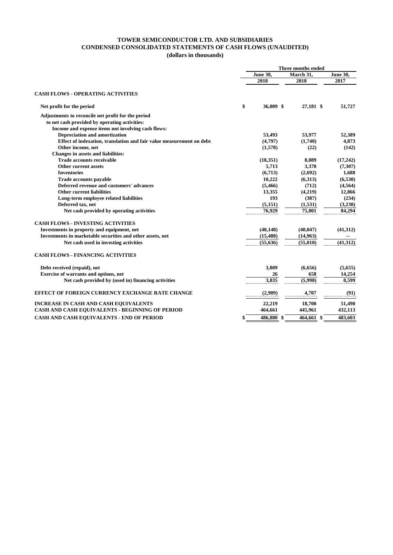### **TOWER SEMICONDUCTOR LTD. AND SUBSIDIARIES CONDENSED CONSOLIDATED STATEMENTS OF CASH FLOWS (UNAUDITED) (dollars in thousands)**

|                                                    | Three months ended |  |           |  |                 |  |
|----------------------------------------------------|--------------------|--|-----------|--|-----------------|--|
|                                                    | <b>June 30.</b>    |  | March 31. |  | <b>June 30.</b> |  |
|                                                    | 2018               |  | 2018      |  | 2017            |  |
| <b>CASH FLOWS - OPERATING ACTIVITIES</b>           |                    |  |           |  |                 |  |
| Net profit for the period                          | \$<br>$36,009$ \$  |  | 27,181 \$ |  | 51,727          |  |
| Adjustments to reconcile net profit for the period |                    |  |           |  |                 |  |
| to net cash provided by operating activities:      |                    |  |           |  |                 |  |
| Income and expense items not involving cash flows: |                    |  |           |  |                 |  |
| <b>Depreciation and amortization</b>               | 53,493             |  | 53,977    |  | 52,389          |  |

| Adjustments to reconcile net profit for the period                   |            |            |           |
|----------------------------------------------------------------------|------------|------------|-----------|
| to net cash provided by operating activities:                        |            |            |           |
| Income and expense items not involving cash flows:                   |            |            |           |
| <b>Depreciation and amortization</b>                                 | 53,493     | 53,977     | 52,389    |
| Effect of indexation, translation and fair value measurement on debt | (4,797)    | (1,740)    | 4,873     |
| Other income, net                                                    | (1,578)    | (22)       | (142)     |
| Changes in assets and liabilities:                                   |            |            |           |
| <b>Trade accounts receivable</b>                                     | (18, 351)  | 8,089      | (17,242)  |
| <b>Other current assets</b>                                          | 5,713      | 3,370      | (7,307)   |
| <b>Inventories</b>                                                   | (6,713)    | (2,692)    | 1,688     |
| Trade accounts payable                                               | 10,222     | (6,313)    | (6,530)   |
| Deferred revenue and customers' advances                             | (5, 466)   | (712)      | (4,564)   |
| Other current liabilities                                            | 13,355     | (4,219)    | 12,866    |
| Long-term employee related liabilities                               | 193        | (387)      | (234)     |
| Deferred tax, net                                                    | (5,151)    | (1,531)    | (3,230)   |
| Net cash provided by operating activities                            | 76,929     | 75,001     | 84,294    |
| <b>CASH FLOWS - INVESTING ACTIVITIES</b>                             |            |            |           |
| Investments in property and equipment, net                           | (40, 148)  | (40, 047)  | (41,312)  |
| Investments in marketable securities and other assets, net           | (15, 488)  | (14,963)   |           |
| Net cash used in investing activities                                | (55, 636)  | (55.010)   | (41, 312) |
| <b>CASH FLOWS - FINANCING ACTIVITIES</b>                             |            |            |           |
| Debt received (repaid), net                                          | 3,809      | (6,656)    | (5,655)   |
| Exercise of warrants and options, net                                | 26         | 658        | 14,254    |
| Net cash provided by (used in) financing activities                  | 3,835      | (5,998)    | 8,599     |
| EFFECT OF FOREIGN CURRENCY EXCHANGE RATE CHANGE                      | (2,909)    | 4,707      | (91)      |
| <b>INCREASE IN CASH AND CASH EQUIVALENTS</b>                         | 22,219     | 18,700     | 51,490    |
| CASH AND CASH EQUIVALENTS - BEGINNING OF PERIOD                      | 464,661    | 445,961    | 432,113   |
| CASH AND CASH EQUIVALENTS - END OF PERIOD                            | 486,880 \$ | 464,661 \$ | 483.603   |